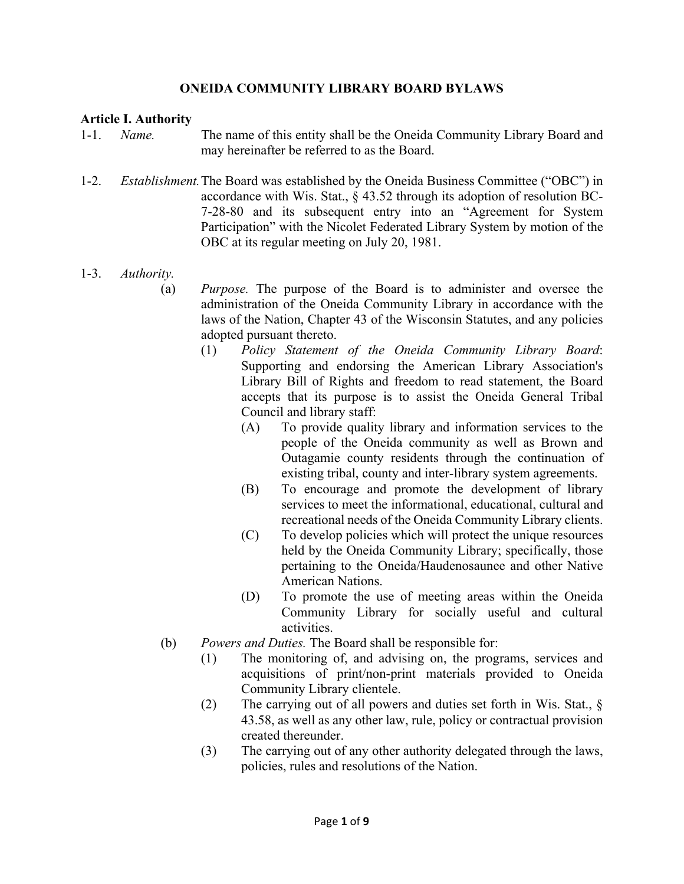### **ONEIDA COMMUNITY LIBRARY BOARD BYLAWS**

#### **Article I. Authority**

- 1-1. *Name.* The name of this entity shall be the Oneida Community Library Board and may hereinafter be referred to as the Board.
- 1-2. *Establishment.* The Board was established by the Oneida Business Committee ("OBC") in accordance with Wis. Stat., § 43.52 through its adoption of resolution BC- 7-28-80 and its subsequent entry into an "Agreement for System Participation" with the Nicolet Federated Library System by motion of the OBC at its regular meeting on July 20, 1981.
- 1-3. *Authority.* 
	- (a) *Purpose.* The purpose of the Board is to administer and oversee the administration of the Oneida Community Library in accordance with the laws of the Nation, Chapter 43 of the Wisconsin Statutes, and any policies adopted pursuant thereto.
		- (1) *Policy Statement of the Oneida Community Library Board*: Supporting and endorsing the American Library Association's Library Bill of Rights and freedom to read statement, the Board accepts that its purpose is to assist the Oneida General Tribal Council and library staff:
			- (A) To provide quality library and information services to the people of the Oneida community as well as Brown and Outagamie county residents through the continuation of existing tribal, county and inter-library system agreements.
			- (B) To encourage and promote the development of library services to meet the informational, educational, cultural and recreational needs of the Oneida Community Library clients.
			- (C) To develop policies which will protect the unique resources held by the Oneida Community Library; specifically, those pertaining to the Oneida/Haudenosaunee and other Native American Nations.
			- (D) To promote the use of meeting areas within the Oneida Community Library for socially useful and cultural activities.
	- (b) *Powers and Duties.* The Board shall be responsible for:
		- (1) The monitoring of, and advising on, the programs, services and acquisitions of print/non-print materials provided to Oneida Community Library clientele.
		- (2) The carrying out of all powers and duties set forth in Wis. Stat., § 43.58, as well as any other law, rule, policy or contractual provision created thereunder.
		- (3) The carrying out of any other authority delegated through the laws, policies, rules and resolutions of the Nation.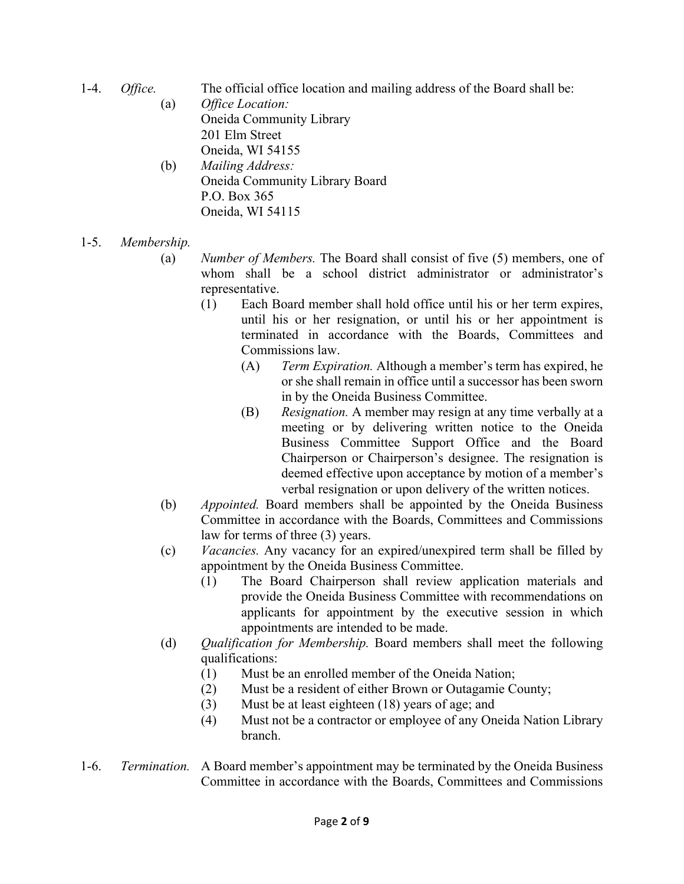- 1-4. *Office.* The official office location and mailing address of the Board shall be:
	- (a) *Office Location:*  Oneida Community Library 201 Elm Street Oneida, WI 54155 (b) *Mailing Address:*
	- Oneida Community Library Board P.O. Box 365 Oneida, WI 54115
- 1-5. *Membership.*
	- (a) *Number of Members.* The Board shall consist of five (5) members, one of whom shall be a school district administrator or administrator's representative.
		- (1) Each Board member shall hold office until his or her term expires, until his or her resignation, or until his or her appointment is terminated in accordance with the Boards, Committees and Commissions law.
			- (A) *Term Expiration.* Although a member's term has expired, he or she shall remain in office until a successor has been sworn in by the Oneida Business Committee.
			- (B) *Resignation.* A member may resign at any time verbally at a meeting or by delivering written notice to the Oneida Business Committee Support Office and the Board Chairperson or Chairperson's designee. The resignation is deemed effective upon acceptance by motion of a member's verbal resignation or upon delivery of the written notices.
	- (b) *Appointed.* Board members shall be appointed by the Oneida Business Committee in accordance with the Boards, Committees and Commissions law for terms of three (3) years.
	- (c) *Vacancies.* Any vacancy for an expired/unexpired term shall be filled by appointment by the Oneida Business Committee.
		- (1) The Board Chairperson shall review application materials and provide the Oneida Business Committee with recommendations on applicants for appointment by the executive session in which appointments are intended to be made.
	- (d) *Qualification for Membership.* Board members shall meet the following qualifications:
		- (1) Must be an enrolled member of the Oneida Nation;
		- (2) Must be a resident of either Brown or Outagamie County;
		- (3) Must be at least eighteen (18) years of age; and
		- (4) Must not be a contractor or employee of any Oneida Nation Library branch.
- 1-6. *Termination.* A Board member's appointment may be terminated by the Oneida Business Committee in accordance with the Boards, Committees and Commissions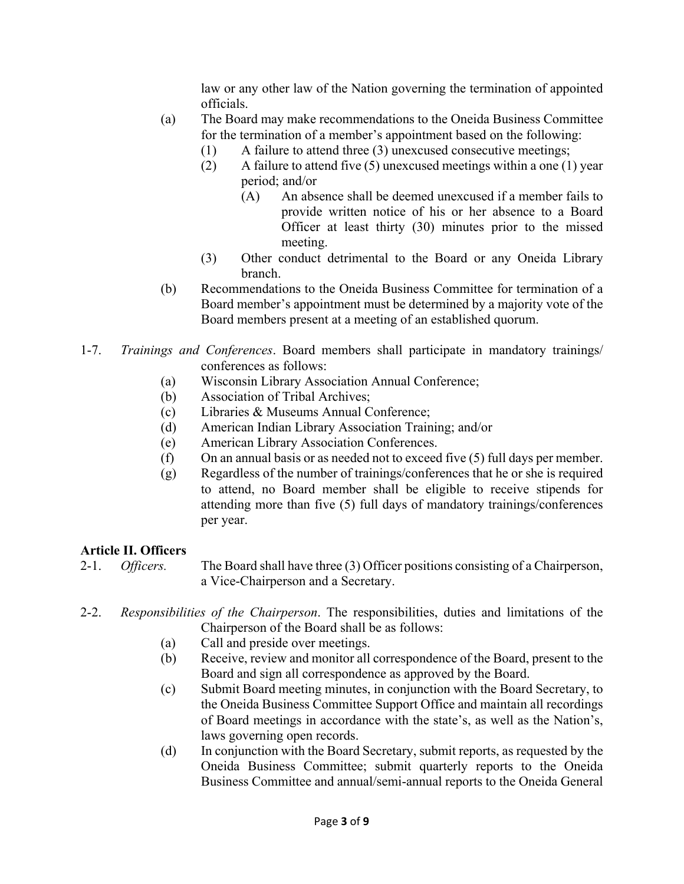law or any other law of the Nation governing the termination of appointed officials.

- (a) The Board may make recommendations to the Oneida Business Committee for the termination of a member's appointment based on the following:
	- (1) A failure to attend three (3) unexcused consecutive meetings;
	- (2) A failure to attend five (5) unexcused meetings within a one (1) year period; and/or
		- (A) An absence shall be deemed unexcused if a member fails to provide written notice of his or her absence to a Board Officer at least thirty (30) minutes prior to the missed meeting.
	- (3) Other conduct detrimental to the Board or any Oneida Library branch.
- (b) Recommendations to the Oneida Business Committee for termination of a Board member's appointment must be determined by a majority vote of the Board members present at a meeting of an established quorum.
- 1-7. *Trainings and Conferences*. Board members shall participate in mandatory trainings/ conferences as follows:
	- (a) Wisconsin Library Association Annual Conference;
	- (b) Association of Tribal Archives;
	- (c) Libraries & Museums Annual Conference;
	- (d) American Indian Library Association Training; and/or
	- (e) American Library Association Conferences.
	- (f) On an annual basis or as needed not to exceed five (5) full days per member.
	- (g) Regardless of the number of trainings/conferences that he or she is required to attend, no Board member shall be eligible to receive stipends for attending more than five (5) full days of mandatory trainings/conferences per year.

# **Article II. Officers**

2-1. *Officers.* The Board shall have three (3) Officer positions consisting of a Chairperson, a Vice-Chairperson and a Secretary.

### 2-2. *Responsibilities of the Chairperson*. The responsibilities, duties and limitations of the Chairperson of the Board shall be as follows:

- (a) Call and preside over meetings.
- (b) Receive, review and monitor all correspondence of the Board, present to the Board and sign all correspondence as approved by the Board.
- (c) Submit Board meeting minutes, in conjunction with the Board Secretary, to the Oneida Business Committee Support Office and maintain all recordings of Board meetings in accordance with the state's, as well as the Nation's, laws governing open records.
- (d) In conjunction with the Board Secretary, submit reports, as requested by the Oneida Business Committee; submit quarterly reports to the Oneida Business Committee and annual/semi-annual reports to the Oneida General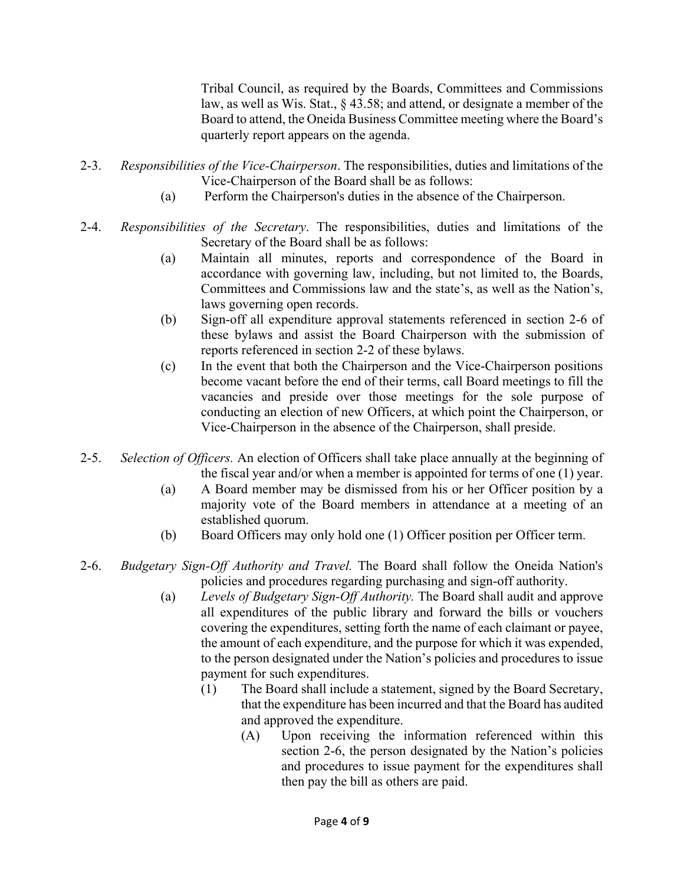Tribal Council, as required by the Boards, Committees and Commissions law, as well as Wis. Stat., § 43.58; and attend, or designate a member of the Board to attend, the Oneida Business Committee meeting where the Board's quarterly report appears on the agenda.

- 2-3. *Responsibilities of the Vice-Chairperson*. The responsibilities, duties and limitations of the Vice-Chairperson of the Board shall be as follows:
	- (a) Perform the Chairperson's duties in the absence of the Chairperson.
- 2-4. *Responsibilities of the Secretary*. The responsibilities, duties and limitations of the Secretary of the Board shall be as follows:
	- (a) Maintain all minutes, reports and correspondence of the Board in accordance with governing law, including, but not limited to, the Boards, Committees and Commissions law and the state's, as well as the Nation's, laws governing open records.
	- (b) Sign-off all expenditure approval statements referenced in section 2-6 of these bylaws and assist the Board Chairperson with the submission of reports referenced in section 2-2 of these bylaws.
	- (c) In the event that both the Chairperson and the Vice-Chairperson positions become vacant before the end of their terms, call Board meetings to fill the vacancies and preside over those meetings for the sole purpose of conducting an election of new Officers, at which point the Chairperson, or Vice-Chairperson in the absence of the Chairperson, shall preside.
- 2-5. *Selection of Officers.* An election of Officers shall take place annually at the beginning of the fiscal year and/or when a member is appointed for terms of one (1) year.
	- (a) A Board member may be dismissed from his or her Officer position by a majority vote of the Board members in attendance at a meeting of an established quorum.
	- (b) Board Officers may only hold one (1) Officer position per Officer term.
- 2-6. *Budgetary Sign-Off Authority and Travel.* The Board shall follow the Oneida Nation's policies and procedures regarding purchasing and sign-off authority.
	- (a) *Levels of Budgetary Sign-Off Authority.* The Board shall audit and approve all expenditures of the public library and forward the bills or vouchers covering the expenditures, setting forth the name of each claimant or payee, the amount of each expenditure, and the purpose for which it was expended, to the person designated under the Nation's policies and procedures to issue payment for such expenditures.
		- (1) The Board shall include a statement, signed by the Board Secretary, that the expenditure has been incurred and that the Board has audited and approved the expenditure.
			- (A) Upon receiving the information referenced within this section 2-6, the person designated by the Nation's policies and procedures to issue payment for the expenditures shall then pay the bill as others are paid.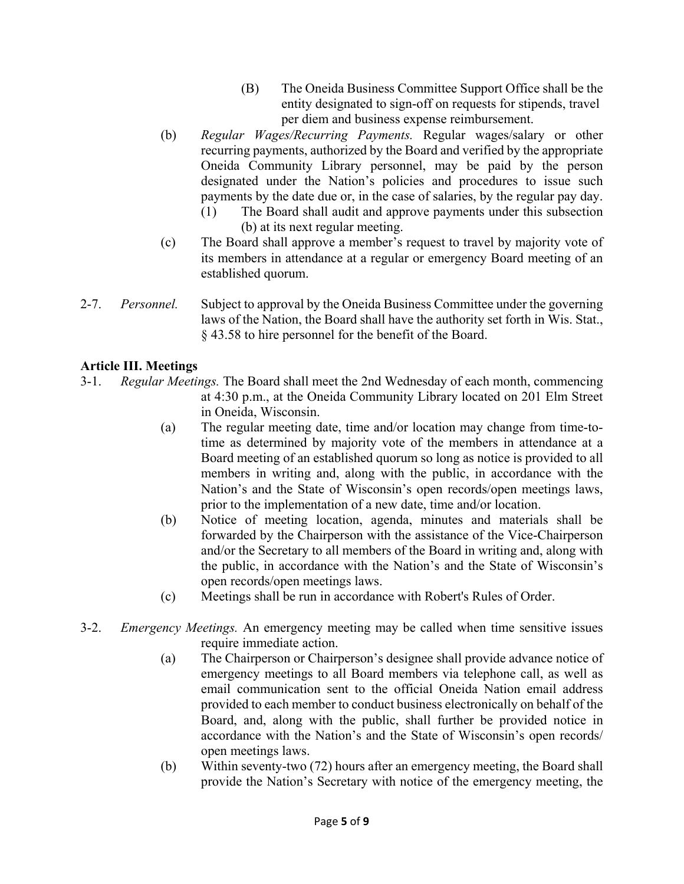- (B) The Oneida Business Committee Support Office shall be the entity designated to sign-off on requests for stipends, travel per diem and business expense reimbursement.
- (b) *Regular Wages/Recurring Payments.* Regular wages/salary or other recurring payments, authorized by the Board and verified by the appropriate Oneida Community Library personnel, may be paid by the person designated under the Nation's policies and procedures to issue such payments by the date due or, in the case of salaries, by the regular pay day.
	- (1) The Board shall audit and approve payments under this subsection (b) at its next regular meeting.
- (c) The Board shall approve a member's request to travel by majority vote of its members in attendance at a regular or emergency Board meeting of an established quorum.
- 2-7. *Personnel.* Subject to approval by the Oneida Business Committee under the governing laws of the Nation, the Board shall have the authority set forth in Wis. Stat., § 43.58 to hire personnel for the benefit of the Board.

# **Article III. Meetings**

- 3-1. *Regular Meetings.* The Board shall meet the 2nd Wednesday of each month, commencing at 4:30 p.m., at the Oneida Community Library located on 201 Elm Street in Oneida, Wisconsin.
	- (a) The regular meeting date, time and/or location may change from time-to time as determined by majority vote of the members in attendance at a Board meeting of an established quorum so long as notice is provided to all members in writing and, along with the public, in accordance with the Nation's and the State of Wisconsin's open records/open meetings laws, prior to the implementation of a new date, time and/or location.
	- (b) Notice of meeting location, agenda, minutes and materials shall be forwarded by the Chairperson with the assistance of the Vice-Chairperson and/or the Secretary to all members of the Board in writing and, along with the public, in accordance with the Nation's and the State of Wisconsin's open records/open meetings laws.
	- (c) Meetings shall be run in accordance with Robert's Rules of Order.
- 3-2. *Emergency Meetings.* An emergency meeting may be called when time sensitive issues require immediate action.
	- (a) The Chairperson or Chairperson's designee shall provide advance notice of emergency meetings to all Board members via telephone call, as well as email communication sent to the official Oneida Nation email address provided to each member to conduct business electronically on behalf of the Board, and, along with the public, shall further be provided notice in accordance with the Nation's and the State of Wisconsin's open records/ open meetings laws.
	- (b) Within seventy-two (72) hours after an emergency meeting, the Board shall provide the Nation's Secretary with notice of the emergency meeting, the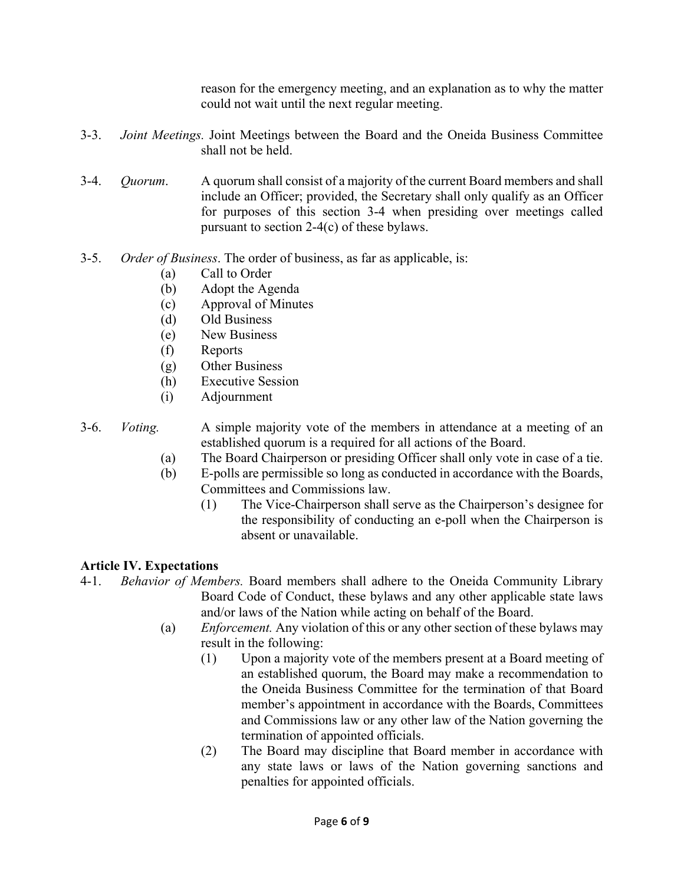reason for the emergency meeting, and an explanation as to why the matter could not wait until the next regular meeting.

- 3-3. *Joint Meetings.* Joint Meetings between the Board and the Oneida Business Committee shall not be held.
- 3-4. *Quorum*. A quorum shall consist of a majority of the current Board members and shall include an Officer; provided, the Secretary shall only qualify as an Officer for purposes of this section 3-4 when presiding over meetings called pursuant to section 2-4(c) of these bylaws.
- 3-5. *Order of Business*. The order of business, as far as applicable, is:
	- (a) Call to Order
	- (b) Adopt the Agenda
	- (c) Approval of Minutes
	- (d) Old Business
	- (e) New Business
	- (f) Reports
	- (g) Other Business
	- (h) Executive Session
	- (i) Adjournment
- 3-6. *Voting.* A simple majority vote of the members in attendance at a meeting of an established quorum is a required for all actions of the Board.
	- (a) The Board Chairperson or presiding Officer shall only vote in case of a tie.
	- (b) E-polls are permissible so long as conducted in accordance with the Boards, Committees and Commissions law.
		- (1) The Vice-Chairperson shall serve as the Chairperson's designee for the responsibility of conducting an e-poll when the Chairperson is absent or unavailable.

# **Article IV. Expectations**

- 4-1. *Behavior of Members.* Board members shall adhere to the Oneida Community Library Board Code of Conduct, these bylaws and any other applicable state laws and/or laws of the Nation while acting on behalf of the Board.
	- (a) *Enforcement.* Any violation of this or any other section of these bylaws may result in the following:
		- (1) Upon a majority vote of the members present at a Board meeting of an established quorum, the Board may make a recommendation to the Oneida Business Committee for the termination of that Board member's appointment in accordance with the Boards, Committees and Commissions law or any other law of the Nation governing the termination of appointed officials.
		- (2) The Board may discipline that Board member in accordance with any state laws or laws of the Nation governing sanctions and penalties for appointed officials.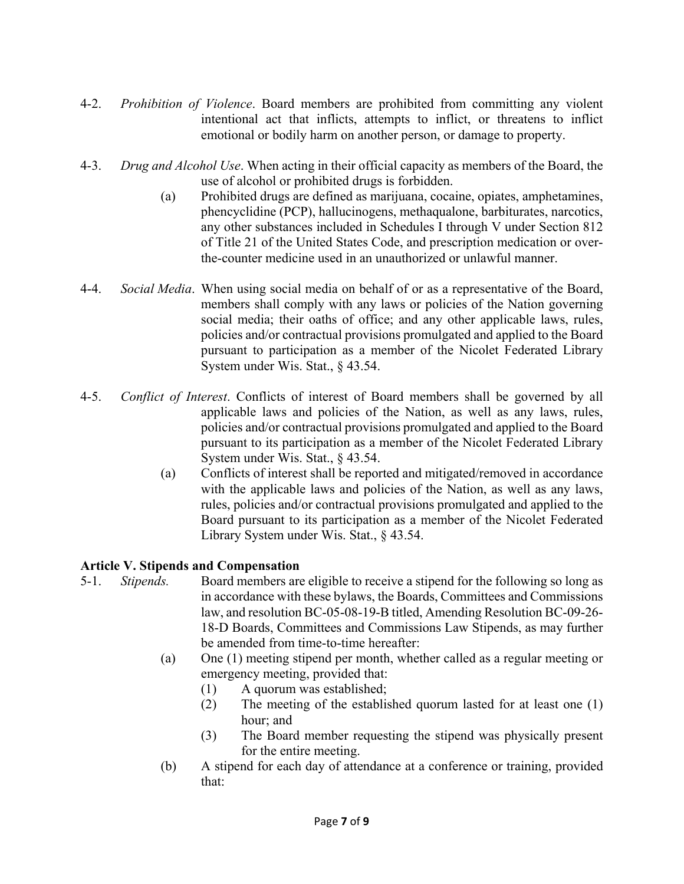- 4-2. *Prohibition of Violence*. Board members are prohibited from committing any violent intentional act that inflicts, attempts to inflict, or threatens to inflict emotional or bodily harm on another person, or damage to property.
- 4-3. *Drug and Alcohol Use*. When acting in their official capacity as members of the Board, the use of alcohol or prohibited drugs is forbidden.
	- (a) Prohibited drugs are defined as marijuana, cocaine, opiates, amphetamines, phencyclidine (PCP), hallucinogens, methaqualone, barbiturates, narcotics, any other substances included in Schedules I through V under Section 812 of Title 21 of the United States Code, and prescription medication or over the-counter medicine used in an unauthorized or unlawful manner.
- 4-4. *Social Media*. When using social media on behalf of or as a representative of the Board, members shall comply with any laws or policies of the Nation governing social media; their oaths of office; and any other applicable laws, rules, policies and/or contractual provisions promulgated and applied to the Board pursuant to participation as a member of the Nicolet Federated Library System under Wis. Stat., § 43.54.
- 4-5. *Conflict of Interest*. Conflicts of interest of Board members shall be governed by all applicable laws and policies of the Nation, as well as any laws, rules, policies and/or contractual provisions promulgated and applied to the Board pursuant to its participation as a member of the Nicolet Federated Library System under Wis. Stat., § 43.54.
	- (a) Conflicts of interest shall be reported and mitigated/removed in accordance with the applicable laws and policies of the Nation, as well as any laws, rules, policies and/or contractual provisions promulgated and applied to the Board pursuant to its participation as a member of the Nicolet Federated Library System under Wis. Stat., § 43.54.

### **Article V. Stipends and Compensation**

- 5-1. *Stipends.* Board members are eligible to receive a stipend for the following so long as in accordance with these bylaws, the Boards, Committees and Commissions law, and resolution BC-05-08-19-B titled, Amending Resolution BC-09-26- 18-D Boards, Committees and Commissions Law Stipends, as may further be amended from time-to-time hereafter:
	- (a) One (1) meeting stipend per month, whether called as a regular meeting or emergency meeting, provided that:
		- (1) A quorum was established;
		- (2) The meeting of the established quorum lasted for at least one (1) hour; and
		- (3) The Board member requesting the stipend was physically present for the entire meeting.
	- (b) A stipend for each day of attendance at a conference or training, provided that: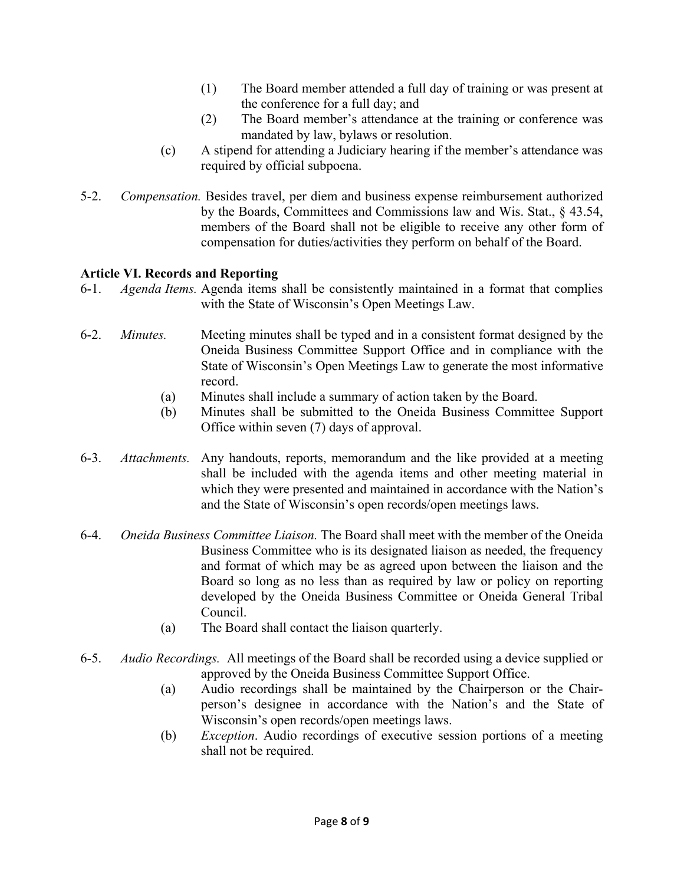- (1) The Board member attended a full day of training or was present at the conference for a full day; and
- (2) The Board member's attendance at the training or conference was mandated by law, bylaws or resolution.
- (c) A stipend for attending a Judiciary hearing if the member's attendance was required by official subpoena.
- 5-2. *Compensation.* Besides travel, per diem and business expense reimbursement authorized by the Boards, Committees and Commissions law and Wis. Stat., § 43.54, members of the Board shall not be eligible to receive any other form of compensation for duties/activities they perform on behalf of the Board.

### **Article VI. Records and Reporting**

- 6-1. *Agenda Items.* Agenda items shall be consistently maintained in a format that complies with the State of Wisconsin's Open Meetings Law.
- 6-2. *Minutes.* Meeting minutes shall be typed and in a consistent format designed by the Oneida Business Committee Support Office and in compliance with the State of Wisconsin's Open Meetings Law to generate the most informative record.
	- (a) Minutes shall include a summary of action taken by the Board.
	- (b) Minutes shall be submitted to the Oneida Business Committee Support Office within seven (7) days of approval.
- 6-3. *Attachments.* Any handouts, reports, memorandum and the like provided at a meeting shall be included with the agenda items and other meeting material in which they were presented and maintained in accordance with the Nation's and the State of Wisconsin's open records/open meetings laws.
- 6-4. *Oneida Business Committee Liaison.* The Board shall meet with the member of the Oneida Business Committee who is its designated liaison as needed, the frequency and format of which may be as agreed upon between the liaison and the Board so long as no less than as required by law or policy on reporting developed by the Oneida Business Committee or Oneida General Tribal Council.
	- (a) The Board shall contact the liaison quarterly.
- 6-5. *Audio Recordings.* All meetings of the Board shall be recorded using a device supplied or approved by the Oneida Business Committee Support Office.
	- (a) Audio recordings shall be maintained by the Chairperson or the Chair person's designee in accordance with the Nation's and the State of Wisconsin's open records/open meetings laws.
	- (b) *Exception*. Audio recordings of executive session portions of a meeting shall not be required.